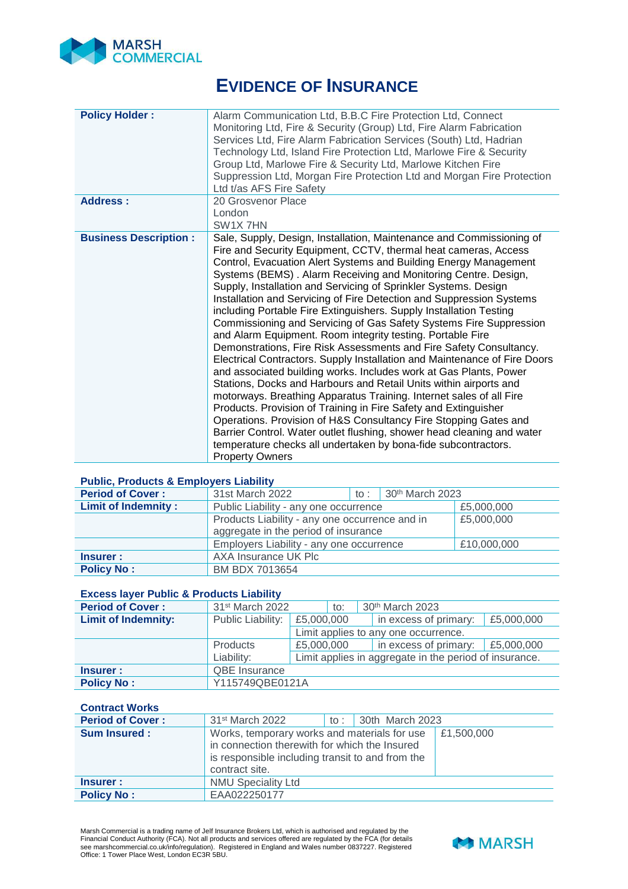

# **EVIDENCE OF INSURANCE**

| <b>Policy Holder:</b>        | Alarm Communication Ltd, B.B.C Fire Protection Ltd, Connect<br>Monitoring Ltd, Fire & Security (Group) Ltd, Fire Alarm Fabrication<br>Services Ltd, Fire Alarm Fabrication Services (South) Ltd, Hadrian<br>Technology Ltd, Island Fire Protection Ltd, Marlowe Fire & Security<br>Group Ltd, Marlowe Fire & Security Ltd, Marlowe Kitchen Fire<br>Suppression Ltd, Morgan Fire Protection Ltd and Morgan Fire Protection<br>Ltd t/as AFS Fire Safety                                                                                                                                                                                                                                                                                                                                                                                                                                                                                                                                                                                                                                                                                                                                                                                                                                                               |
|------------------------------|---------------------------------------------------------------------------------------------------------------------------------------------------------------------------------------------------------------------------------------------------------------------------------------------------------------------------------------------------------------------------------------------------------------------------------------------------------------------------------------------------------------------------------------------------------------------------------------------------------------------------------------------------------------------------------------------------------------------------------------------------------------------------------------------------------------------------------------------------------------------------------------------------------------------------------------------------------------------------------------------------------------------------------------------------------------------------------------------------------------------------------------------------------------------------------------------------------------------------------------------------------------------------------------------------------------------|
| <b>Address:</b>              | 20 Grosvenor Place                                                                                                                                                                                                                                                                                                                                                                                                                                                                                                                                                                                                                                                                                                                                                                                                                                                                                                                                                                                                                                                                                                                                                                                                                                                                                                  |
|                              | London                                                                                                                                                                                                                                                                                                                                                                                                                                                                                                                                                                                                                                                                                                                                                                                                                                                                                                                                                                                                                                                                                                                                                                                                                                                                                                              |
|                              | SW <sub>1</sub> X <sub>7</sub> HN                                                                                                                                                                                                                                                                                                                                                                                                                                                                                                                                                                                                                                                                                                                                                                                                                                                                                                                                                                                                                                                                                                                                                                                                                                                                                   |
| <b>Business Description:</b> | Sale, Supply, Design, Installation, Maintenance and Commissioning of<br>Fire and Security Equipment, CCTV, thermal heat cameras, Access<br>Control, Evacuation Alert Systems and Building Energy Management<br>Systems (BEMS). Alarm Receiving and Monitoring Centre. Design,<br>Supply, Installation and Servicing of Sprinkler Systems. Design<br>Installation and Servicing of Fire Detection and Suppression Systems<br>including Portable Fire Extinguishers. Supply Installation Testing<br>Commissioning and Servicing of Gas Safety Systems Fire Suppression<br>and Alarm Equipment. Room integrity testing. Portable Fire<br>Demonstrations, Fire Risk Assessments and Fire Safety Consultancy.<br>Electrical Contractors. Supply Installation and Maintenance of Fire Doors<br>and associated building works. Includes work at Gas Plants, Power<br>Stations, Docks and Harbours and Retail Units within airports and<br>motorways. Breathing Apparatus Training. Internet sales of all Fire<br>Products. Provision of Training in Fire Safety and Extinguisher<br>Operations. Provision of H&S Consultancy Fire Stopping Gates and<br>Barrier Control. Water outlet flushing, shower head cleaning and water<br>temperature checks all undertaken by bona-fide subcontractors.<br><b>Property Owners</b> |

#### **Public, Products & Employers Liability**

| <b>Period of Cover:</b>    | 31st March 2022                                | $\pm$ to $\pm$ $\pm$ | 30th March 2023 |             |  |
|----------------------------|------------------------------------------------|----------------------|-----------------|-------------|--|
| <b>Limit of Indemnity:</b> | Public Liability - any one occurrence          |                      |                 | £5,000,000  |  |
|                            | Products Liability - any one occurrence and in | £5,000,000           |                 |             |  |
|                            | aggregate in the period of insurance           |                      |                 |             |  |
|                            | Employers Liability - any one occurrence       |                      |                 | £10,000,000 |  |
| <b>Insurer:</b>            | AXA Insurance UK Plc                           |                      |                 |             |  |
| <b>Policy No:</b>          | BM BDX 7013654                                 |                      |                 |             |  |

# **Excess layer Public & Products Liability**

| <b>Period of Cover:</b>    | 31 <sup>st</sup> March 2022<br>to: |            | 30th March 2023 |                                      |                                                        |            |
|----------------------------|------------------------------------|------------|-----------------|--------------------------------------|--------------------------------------------------------|------------|
| <b>Limit of Indemnity:</b> | Public Liability:                  | £5,000,000 |                 |                                      | in excess of primary:                                  | £5,000,000 |
|                            |                                    |            |                 | Limit applies to any one occurrence. |                                                        |            |
|                            | <b>Products</b>                    | £5,000,000 |                 |                                      | in excess of primary:                                  | £5,000,000 |
|                            | Liability:                         |            |                 |                                      | Limit applies in aggregate in the period of insurance. |            |
| <b>Insurer:</b>            | <b>QBE</b> Insurance               |            |                 |                                      |                                                        |            |
| <b>Policy No:</b>          | Y115749QBE0121A                    |            |                 |                                      |                                                        |            |

**Contract Works** 

| <b>Period of Cover:</b> | 31 <sup>st</sup> March 2022                                                                                                                                         | to: $\vert$ 30th March 2023 |            |
|-------------------------|---------------------------------------------------------------------------------------------------------------------------------------------------------------------|-----------------------------|------------|
| <b>Sum Insured:</b>     | Works, temporary works and materials for use<br>in connection therewith for which the Insured<br>is responsible including transit to and from the<br>contract site. |                             | £1,500,000 |
| <b>Insurer:</b>         | <b>NMU Speciality Ltd</b>                                                                                                                                           |                             |            |
| <b>Policy No:</b>       | EAA022250177                                                                                                                                                        |                             |            |

Marsh Commercial is a trading name of Jelf Insurance Brokers Ltd, which is authorised and regulated by the<br>Financial Conduct Authority (FCA). Not all products and services offered are regulated by the FCA (for details<br>see

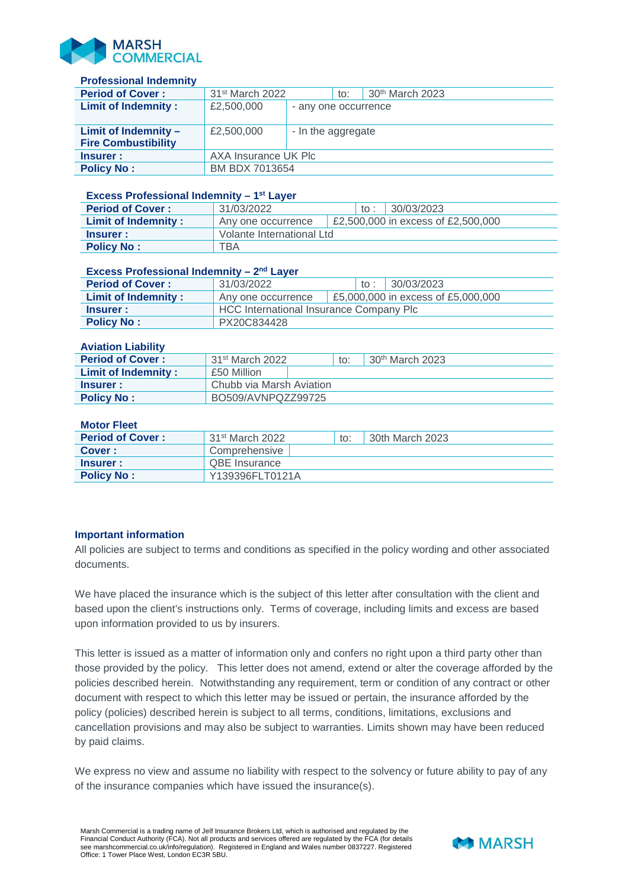

### **Professional Indemnity**

| <b>Period of Cover:</b>    | 31 <sup>st</sup> March 2022 |                      | to: | 30 <sup>th</sup> March 2023 |  |
|----------------------------|-----------------------------|----------------------|-----|-----------------------------|--|
| <b>Limit of Indemnity:</b> | £2,500,000                  | - any one occurrence |     |                             |  |
| Limit of Indemnity -       | £2,500,000                  | - In the aggregate   |     |                             |  |
| <b>Fire Combustibility</b> |                             |                      |     |                             |  |
| <b>Insurer:</b>            | AXA Insurance UK Plc        |                      |     |                             |  |
| <b>Policy No:</b>          | BM BDX 7013654              |                      |     |                             |  |

#### **Excess Professional Indemnity – 1st Layer**

| <b>Period of Cover:</b>    | 31/03/2022                |  | to : | 30/03/2023                         |  |
|----------------------------|---------------------------|--|------|------------------------------------|--|
| <b>Limit of Indemnity:</b> | Any one occurrence        |  |      | £2,500,000 in excess of £2,500,000 |  |
| Insurer:                   | Volante International Ltd |  |      |                                    |  |
| <b>Policy No:</b>          | TBA                       |  |      |                                    |  |

## **Excess Professional Indemnity – 2nd Layer**

| <b>Period of Cover:</b> | 31/03/2022                              | to : |  | 30/03/2023                         |  |
|-------------------------|-----------------------------------------|------|--|------------------------------------|--|
| Limit of Indemnity :    | Any one occurrence                      |      |  | £5,000,000 in excess of £5,000,000 |  |
| Insurer :               | HCC International Insurance Company Plc |      |  |                                    |  |
| <b>Policy No:</b>       | PX20C834428                             |      |  |                                    |  |

#### **Aviation Liability**

| <b>Period of Cover:</b>    | $31st$ March 2022        | to: | 30 <sup>th</sup> March 2023 |  |
|----------------------------|--------------------------|-----|-----------------------------|--|
| <b>Limit of Indemnity:</b> | £50 Million              |     |                             |  |
| Insurer:                   | Chubb via Marsh Aviation |     |                             |  |
| <b>Policy No:</b>          | BO509/AVNPQZZ99725       |     |                             |  |

### **Motor Fleet**

| <b>Period of Cover:</b> | 31 <sup>st</sup> March 2022 | to: | 30th March 2023 |
|-------------------------|-----------------------------|-----|-----------------|
| Cover:                  | Comprehensive               |     |                 |
| Insurer :               | . QBE Insurance             |     |                 |
| <b>Policy No:</b>       | Y139396FLT0121A             |     |                 |

# **Important information**

All policies are subject to terms and conditions as specified in the policy wording and other associated documents.

We have placed the insurance which is the subject of this letter after consultation with the client and based upon the client's instructions only. Terms of coverage, including limits and excess are based upon information provided to us by insurers.

This letter is issued as a matter of information only and confers no right upon a third party other than those provided by the policy. This letter does not amend, extend or alter the coverage afforded by the policies described herein. Notwithstanding any requirement, term or condition of any contract or other document with respect to which this letter may be issued or pertain, the insurance afforded by the policy (policies) described herein is subject to all terms, conditions, limitations, exclusions and cancellation provisions and may also be subject to warranties. Limits shown may have been reduced by paid claims.

We express no view and assume no liability with respect to the solvency or future ability to pay of any of the insurance companies which have issued the insurance(s).